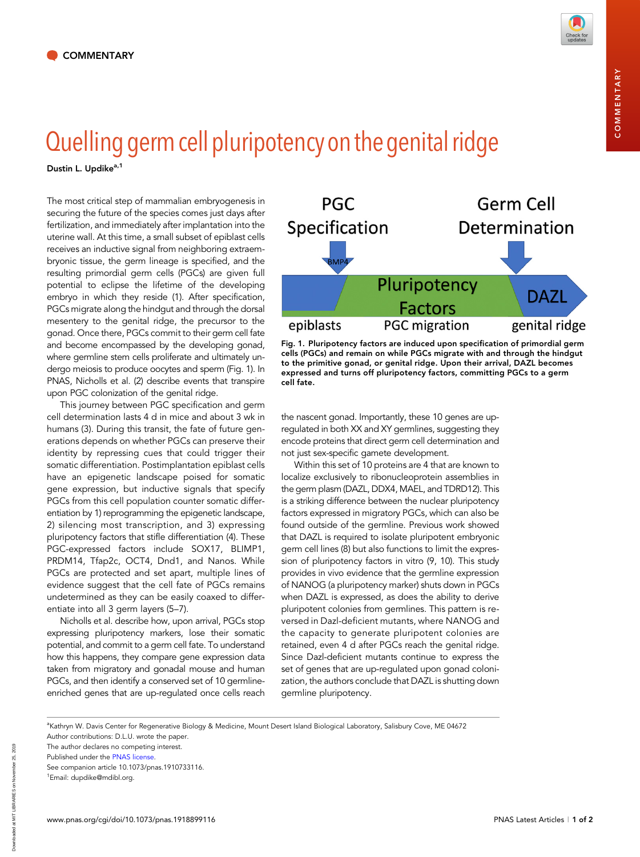

## Quelling germ cell pluripotency on the genital ridge

Dustin L. Updike<sup>a,1</sup>

The most critical step of mammalian embryogenesis in securing the future of the species comes just days after fertilization, and immediately after implantation into the uterine wall. At this time, a small subset of epiblast cells receives an inductive signal from neighboring extraembryonic tissue, the germ lineage is specified, and the resulting primordial germ cells (PGCs) are given full potential to eclipse the lifetime of the developing embryo in which they reside (1). After specification, PGCs migrate along the hindgut and through the dorsal mesentery to the genital ridge, the precursor to the gonad. Once there, PGCs commit to their germ cell fate and become encompassed by the developing gonad, where germline stem cells proliferate and ultimately undergo meiosis to produce oocytes and sperm (Fig. 1). In PNAS, Nicholls et al. (2) describe events that transpire upon PGC colonization of the genital ridge.

This journey between PGC specification and germ cell determination lasts 4 d in mice and about 3 wk in humans (3). During this transit, the fate of future generations depends on whether PGCs can preserve their identity by repressing cues that could trigger their somatic differentiation. Postimplantation epiblast cells have an epigenetic landscape poised for somatic gene expression, but inductive signals that specify PGCs from this cell population counter somatic differentiation by 1) reprogramming the epigenetic landscape, 2) silencing most transcription, and 3) expressing pluripotency factors that stifle differentiation (4). These PGC-expressed factors include SOX17, BLIMP1, PRDM14, Tfap2c, OCT4, Dnd1, and Nanos. While PGCs are protected and set apart, multiple lines of evidence suggest that the cell fate of PGCs remains undetermined as they can be easily coaxed to differentiate into all 3 germ layers (5–7).

Nicholls et al. describe how, upon arrival, PGCs stop expressing pluripotency markers, lose their somatic potential, and commit to a germ cell fate. To understand how this happens, they compare gene expression data taken from migratory and gonadal mouse and human PGCs, and then identify a conserved set of 10 germlineenriched genes that are up-regulated once cells reach



Fig. 1. Pluripotency factors are induced upon specification of primordial germ cells (PGCs) and remain on while PGCs migrate with and through the hindgut to the primitive gonad, or genital ridge. Upon their arrival, DAZL becomes expressed and turns off pluripotency factors, committing PGCs to a germ cell fate.

the nascent gonad. Importantly, these 10 genes are upregulated in both XX and XY germlines, suggesting they encode proteins that direct germ cell determination and not just sex-specific gamete development.

Within this set of 10 proteins are 4 that are known to localize exclusively to ribonucleoprotein assemblies in the germ plasm (DAZL, DDX4, MAEL, and TDRD12). This is a striking difference between the nuclear pluripotency factors expressed in migratory PGCs, which can also be found outside of the germline. Previous work showed that DAZL is required to isolate pluripotent embryonic germ cell lines (8) but also functions to limit the expression of pluripotency factors in vitro (9, 10). This study provides in vivo evidence that the germline expression of NANOG (a pluripotency marker) shuts down in PGCs when DAZL is expressed, as does the ability to derive pluripotent colonies from germlines. This pattern is reversed in Dazl-deficient mutants, where NANOG and the capacity to generate pluripotent colonies are retained, even 4 d after PGCs reach the genital ridge. Since Dazl-deficient mutants continue to express the set of genes that are up-regulated upon gonad colonization, the authors conclude that DAZL is shutting down germline pluripotency.

Downloaded at MIT LIBRARIES on November 25, 2019

Downloaded at MIT LIBRARIES on November 25, 2019

a Kathryn W. Davis Center for Regenerative Biology & Medicine, Mount Desert Island Biological Laboratory, Salisbury Cove, ME 04672 Author contributions: D.L.U. wrote the paper.

The author declares no competing interest.

Published under the [PNAS license.](https://www.pnas.org/site/aboutpnas/licenses.xhtml)

See companion article 10.1073/pnas.1910733116.